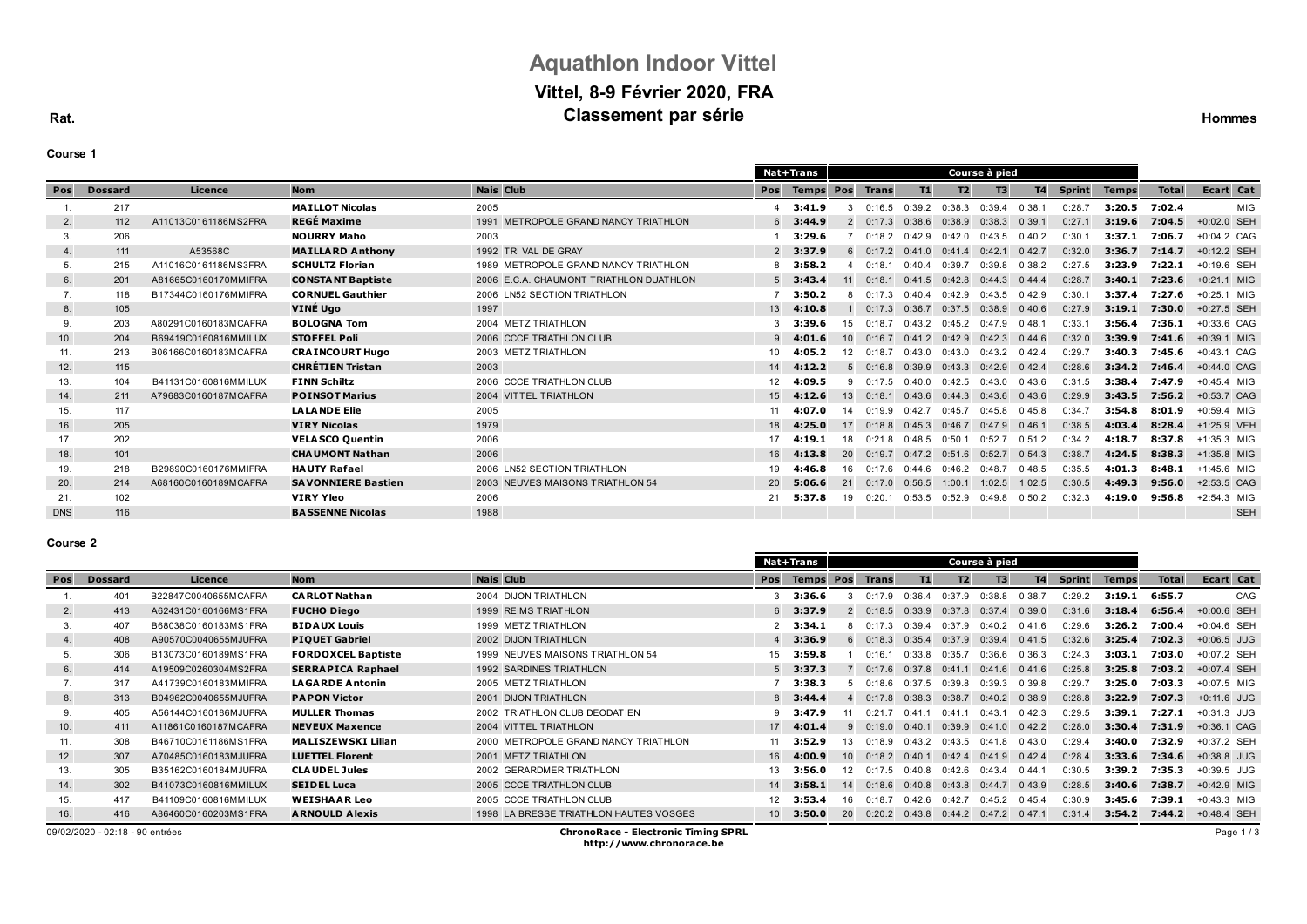# **Aquathlon Indoor Vittel Vittel, 8-9 Février 2020, FRA Classement par série**

**Rat.**

| our<br>l |  |
|----------|--|
|----------|--|

|  |  |  | <b>Hommes</b> |
|--|--|--|---------------|
|--|--|--|---------------|

|            |                |                      |                           |                                         |                  | Nat+Trans        | Course à pied   |              |           |                   |                   |           |               |              |              |               |
|------------|----------------|----------------------|---------------------------|-----------------------------------------|------------------|------------------|-----------------|--------------|-----------|-------------------|-------------------|-----------|---------------|--------------|--------------|---------------|
| Pos        | <b>Dossard</b> | Licence              | <b>Nom</b>                | <b>Nais Club</b>                        | <b>Pos</b>       | <b>Temps Pos</b> |                 | <b>Trans</b> | <b>T1</b> | T <sub>2</sub>    | T3                | <b>T4</b> | <b>Sprint</b> | <b>Temps</b> | <b>Total</b> | Ecart Cat     |
|            | 217            |                      | <b>MAILLOT Nicolas</b>    | 2005                                    |                  | 3:41.9           | 3               | 0:16.5       | 0:39.2    | 0:38.3            | 0:39.4            | 0:38.1    | 0:28.7        | 3:20.5       | 7:02.4       | MIG           |
| 2.         | 112            | A11013C0161186MS2FRA | <b>REGÉ Maxime</b>        | 1991 METROPOLE GRAND NANCY TRIATHLON    |                  | $6\quad 3:44.9$  | $\mathcal{P}$   | 0:17.3       | 0:38.6    | 0:38.9            | 0:38.3            | 0:39.1    | 0:27.1        | 3:19.6       | 7:04.5       | +0:02.0 SEH   |
| 3.         | 206            |                      | <b>NOURRY Maho</b>        | 2003                                    |                  | 3:29.6           |                 | 0:18.2       | 0:42.9    | 0:42.0            | 0:43.5            | 0:40.2    | 0:30.         | 3:37.1       | 7:06.7       | +0:04.2 CAG   |
| 4.         | 111            | A53568C              | <b>MAILLARD Anthony</b>   | 1992 TRI VAL DE GRAY                    |                  | $2$ 3:37.9       |                 | 0.172        | 0.410     | 0.414             | 0:42.1            | 0:42.7    | 0:32.0        | 3:36.7       | 7:14.7       | $+0:12.2$ SEH |
| 5.         | 215            | A11016C0161186MS3FRA | <b>SCHULTZ Florian</b>    | 1989 METROPOLE GRAND NANCY TRIATHLON    |                  | $8$ 3:58.2       |                 | 0.181        | 0:40.4    | 0:39.7            | 0:39.8            | 0:38.2    | 0:27.5        | 3:23.9       | 7:22.1       | $+0:19.6$ SEH |
| 6.         | 201            | A81665C0160170MMIFRA | <b>CONSTANT Baptiste</b>  | 2006 E.C.A. CHAUMONT TRIATHLON DUATHLON |                  | $5$ 3:43.4       |                 | 0:18.1       | 0:41.5    | 0:42.8            | 0:44.3            | 0:44.4    | 0:28.7        | 3:40.1       | 7:23.6       | $+0:21.1$ MIG |
|            | 118            | B17344C0160176MMIFRA | <b>CORNUEL Gauthier</b>   | 2006 LN52 SECTION TRIATHLON             |                  | 3:50.2           |                 | 0:17.3       | 0.404     | 0:42.9            | 0:43.5            | 0:42.9    | 0:30.         | 3:37.4       | 7:27.6       | $+0:25.1$ MIG |
| 8.         | 105            |                      | VINÉ Ugo                  | 1997                                    | 13 <sup>1</sup>  | 4:10.8           |                 | 0:17.3       | 0:36.7    | 0:37.5            | 0:38.9            | 0:40.6    | 0:27.9        | 3:19.1       | 7:30.0       | +0:27.5 SEH   |
| 9.         | 203            | A80291C0160183MCAFRA | <b>BOLOGNA Tom</b>        | 2004 METZ TRIATHLON                     |                  | 3:39.6           | 15              | 0:18.7       |           | $0:43.2$ $0:45.2$ | $0:47.9$ 0:48.1   |           | 0:33.1        | 3:56.4       | 7:36.1       | $+0:33.6$ CAG |
| 10.        | 204            | B69419C0160816MMILUX | <b>STOFFEL Poli</b>       | 2006 CCCE TRIATHLON CLUB                | 9                | 4:01.6           | 10 <sup>1</sup> | 0.167        |           | $0:41.2$ $0:42.9$ | 0:42.3            | 0:44.6    | 0:32.0        | 3:39.9       | 7:41.6       | $+0:39.1$ MIG |
| 11.        | 213            | B06166C0160183MCAFRA | <b>CRAINCOURT Hugo</b>    | 2003 METZ TRIATHLON                     | $10 -$           | 4:05.2           | 12 <sup>1</sup> | 0.187        | 0:43.0    | 0:43.0            | $0:43.2$ $0:42.4$ |           | 0:29.7        | 3:40.3       | 7:45.6       | $+0:43.1$ CAG |
| 12.        | 115            |                      | <b>CHRÉTIEN Tristan</b>   | 2003                                    | 14               | 4:12.2           | 5               | 0:16.8       | 0:39.9    | 0:43.3            | $0:42.9$ $0:42.4$ |           | 0:28.6        | 3:34.2       | 7:46.4       | $+0:44.0$ CAG |
| 13.        | 104            | B41131C0160816MMILUX | <b>FINN Schiltz</b>       | 2006 CCCE TRIATHLON CLUB                | 12 <sup>12</sup> | 4:09.5           | 9               | 0:17.5       | 0.400     | 0:42.5            | 0:43.0            | 0:43.6    | 0:31.5        | 3:38.4       | 7:47.9       | $+0:45.4$ MIG |
| 14.        | 211            | A79683C0160187MCAFRA | <b>POINSOT Marius</b>     | 2004 VITTEL TRIATHLON                   | 15               | 4:12.6           | 13 <sup>1</sup> | 0:18.1       | 0:43.6    | 0:44.3            | 0:43.6            | 0:43.6    | 0:29.9        | 3:43.5       | 7:56.2       | $+0:53.7$ CAG |
| 15.        | 117            |                      | <b>LALANDE Elie</b>       | 2005                                    |                  | 4:07.0           |                 | 0.199        | 0:42.7    | 0:45.7            | 0:45.8            | 0:45.8    | 0:34.7        | 3:54.8       | 8:01.9       | $+0.59.4$ MIG |
| 16.        | 205            |                      | <b>VIRY Nicolas</b>       | 1979                                    | 18               | 4:25.0           | 17              | 0:18.8       | 0:45.3    | 0:46.7            | 0:47.9            | 0:46.1    | 0:38.5        | 4:03.4       | 8:28.4       | +1:25.9 VEH   |
| 17.        | 202            |                      | <b>VELASCO Quentin</b>    | 2006                                    | 17               | 4:19.1           | 18              | 0:21.8       | 0:48.5    | 0:50.1            | 0:52.7            | 0:51.2    | 0:34.2        | 4:18.7       | 8:37.8       | $+1:35.3$ MIG |
| 18.        | 101            |                      | <b>CHAUMONT Nathan</b>    | 2006                                    | 16               | 4:13.8           | 20 <sup>1</sup> | 0.197        | 0:47.2    | 0:51.6            | 0:52.7            | 0:54.3    | 0:38.7        | 4:24.5       | 8:38.3       | $+1:35.8$ MIG |
| 19.        | 218            | B29890C0160176MMIFRA | <b>HAUTY Rafael</b>       | 2006 LN52 SECTION TRIATHLON             | 19               | :46.8            | 16              | 0:17.6       | 0:44.6    | 0:46.2            | 0:48.7            | 0:48.5    | 0:35.5        | 4:01.3       | 8:48.1       | $+1:45.6$ MIG |
| 20.        | 214            | A68160C0160189MCAFRA | <b>SAVONNIERE Bastien</b> | 2003 NEUVES MAISONS TRIATHLON 54        | 20               | 5:06.6           | 21              | 0:17.0       | 0:56.5    | 1:00.1            | 1:02.5            | 1:02.5    | 0:30.5        | 4:49.3       | 9:56.0       | $+2:53.5$ CAG |
| 21.        | 102            |                      | <b>VIRY Yleo</b>          | 2006                                    | 21               | 5:37.8           | 19              | 0:20.1       | 0:53.5    | 0:52.9            | 0:49.8            | 0:50.2    | 0:32.3        | 4:19.0       | 9:56.8       | $+2:54.3$ MIG |
| <b>DNS</b> | 116            |                      | <b>BASSENNE Nicolas</b>   | 1988                                    |                  |                  |                 |              |           |                   |                   |           |               |              |              | <b>SEH</b>    |

### **Course 2**

|                                                                               |                |                      |                           |                                        |     | <b>Nat+Trans</b> |                 |              |        |           |                   |        |               |              |              |               |
|-------------------------------------------------------------------------------|----------------|----------------------|---------------------------|----------------------------------------|-----|------------------|-----------------|--------------|--------|-----------|-------------------|--------|---------------|--------------|--------------|---------------|
| Pos                                                                           | <b>Dossard</b> | Licence              | <b>Nom</b>                | <b>Nais Club</b>                       | Pos | <b>Temps</b>     | Pos             | <b>Trans</b> | T1     | <b>T2</b> | T <sub>3</sub>    | T4     | <b>Sprint</b> | <b>Temps</b> | <b>Total</b> | Ecart Cat     |
|                                                                               | 401            | B22847C0040655MCAFRA | <b>CARLOT Nathan</b>      | 2004 DIJON TRIATHLON                   |     | 3:36.6           |                 | በ 17 ዓ       | 0:36.4 | 0:37.9    | 0:38.8            | 0:38.7 | 0:29.2        | 3:19.1       | 6:55.7       | CAG           |
| 2.                                                                            | 413            | A62431C0160166MS1FRA | <b>FUCHO Diego</b>        | 1999 REIMS TRIATHLON                   |     | $6$ 3:37.9       |                 | 0.185        | 0:33.9 | 0:37.8    | 0:37.4            | 0:39.0 | 0:31.6        | 3:18.4       | 6:56.4       | $+0:00.6$ SEH |
| 3.                                                                            | 407            | B68038C0160183MS1FRA | <b>BIDAUX Louis</b>       | 1999 METZ TRIATHLON                    |     | 2, 3:34.1        |                 |              | 0:39.4 | 0:37.9    | 0:40.2            | 0:41.6 | 0:29.6        | 3:26.2       | 7:00.4       | $+0:04.6$ SEH |
| 4.                                                                            | 408            | A90570C0040655MJUFRA | <b>PIQUET Gabriel</b>     | 2002 DIJON TRIATHLON                   |     | $4$ 3:36.9       |                 |              | 0:35.4 | 0:37.9    | 0:39.4            | 0:41.5 | 0:32.6        | 3:25.4       | 7:02.3       | +0:06.5 JUG   |
| 5.                                                                            | 306            | B13073C0160189MS1FRA | <b>FORDOXCEL Baptiste</b> | 1999 NEUVES MAISONS TRIATHLON 54       | 15  | 3:59.8           |                 | 0.161        | 0:33.8 | 0:35.7    | 0:36.6            | 0:36.3 | 0:24          | 3:03.1       | 7:03.0       | +0:07.2 SEH   |
| 6.                                                                            | 414            | A19509C0260304MS2FRA | <b>SERRAPICA Raphael</b>  | 1992 SARDINES TRIATHLON                |     | $5$ 3:37.3       |                 | 0:17.6       | 0:37.8 | 0:41.1    | 0:41.6            | 0:41.6 | 0:25.8        | 3:25.8       | 7:03.2       | +0:07.4 SEH   |
| $\mathcal{L}$ .                                                               | 317            | A41739C0160183MMIFRA | <b>LAGARDE Antonin</b>    | 2005 METZ TRIATHLON                    |     | 3:38.3           |                 | 0:18.6       | 0:37.5 | 0:39.8    | 0:39.3            | 0:39.8 | 0:29.         | 3:25.0       | 7:03.3       | +0:07.5 MIG   |
| 8.                                                                            | 313            | B04962C0040655MJUFRA | <b>PAPON Victor</b>       | 2001 DIJON TRIATHLON                   |     | $8\quad 3:44.4$  |                 | 0:17.8       | 0:38.3 | 0:38.7    | 0:40.2            | 0:38.9 | 0:28.8        | 3:22.9       | 7:07.3       | +0:11.6 JUG   |
| 9.                                                                            | 405            | A56144C0160186MJUFRA | <b>MULLER Thomas</b>      | 2002 TRIATHLON CLUB DEODATIEN          |     | $9$ 3:47.9       |                 | 0:21.7       | 0:41.1 | 0:41      | 0:43.1            | 0:42.3 | 0:29.5        | 3:39.1       | 7:27.1       | $+0:31.3$ JUG |
| 10.                                                                           | 411            | A11861C0160187MCAFRA | <b>NEVEUX Maxence</b>     | 2004 VITTEL TRIATHLON                  | 17  | 4:01.4           |                 | 0.190        | 0:40.1 | 0:39.9    | 0:41.0            | 0:42.2 | 0:28.0        | 3:30.4       | 7:31.9       | +0:36.1 CAG   |
| 11.                                                                           | 308            | B46710C0161186MS1FRA | <b>MALISZEWSKI Lilian</b> | 2000 METROPOLE GRAND NANCY TRIATHLON   | 11  | 3:52.9           | 13 <sup>1</sup> | 0.189        | 0:43.2 | 0:43.5    | 0:41.8            | 0:43.0 | 0:29.4        | 3:40.0       | 7:32.9       | +0:37.2 SEH   |
| 12.                                                                           | 307            | A70485C0160183MJUFRA | <b>LUETTEL Florent</b>    | 2001 METZ TRIATHLON                    |     | 16 4:00.9        | 10 <sup>1</sup> | 0:18.2       | 0:40.1 | 0:42.4    | 0:41.9            | 0:42.4 | 0:28.4        | 3:33.6       | 7:34.6       | +0:38.8 JUG   |
| 13.                                                                           | 305            | B35162C0160184MJUFRA | <b>CLAUDEL Jules</b>      | 2002 GERARDMER TRIATHLON               | 13  | 3:56.0           | 12 <sup>1</sup> | 0.175        | 0:40.8 | በ 42 6    | 0:43.4            | 0:44.1 | 0:30.5        | 3:39.2       | 7:35.3       | +0:39.5 JUG   |
| 14.                                                                           | 302            | B41073C0160816MMILUX | <b>SEIDEL Luca</b>        | 2005 CCCE TRIATHLON CLUB               | 14  | 3:58.1           | 14              | 0:18.6       | 0:40.8 | 0:43.8    | 0:44.7            | 0:43.9 | 0:28.5        | 3:40.6       | 7:38.7       | $+0.42.9$ MIG |
| 15.                                                                           | 417            | B41109C0160816MMILUX | <b>WEISHAAR Leo</b>       | 2005 CCCE TRIATHLON CLUB               |     | 3:53.4           | 16.             | 0:18.7       | 0:42.6 | 0:42.7    | 0:45.2            | 0:45.4 | 0:30.9        | 3:45.6       | 7:39.1       | $+0:43.3$ MIG |
| 16.                                                                           | 416            | A86460C0160203MS1FRA | <b>ARNOULD Alexis</b>     | 1998 LA BRESSE TRIATHLON HAUTES VOSGES |     | $10$ 3:50.0      | <b>20</b>       | 0:20.2       | 0:43.8 |           | $0:44.2$ $0:47.2$ | 0:47.1 | 0:31.4        | 3:54.2       | 7:44.2       | $+0:48.4$ SEH |
| 09/02/2020 - 02:18 - 90 entrées<br><b>ChronoRace - Electronic Timing SPRL</b> |                |                      |                           |                                        |     |                  |                 |              |        |           |                   |        |               |              | Page 1/3     |               |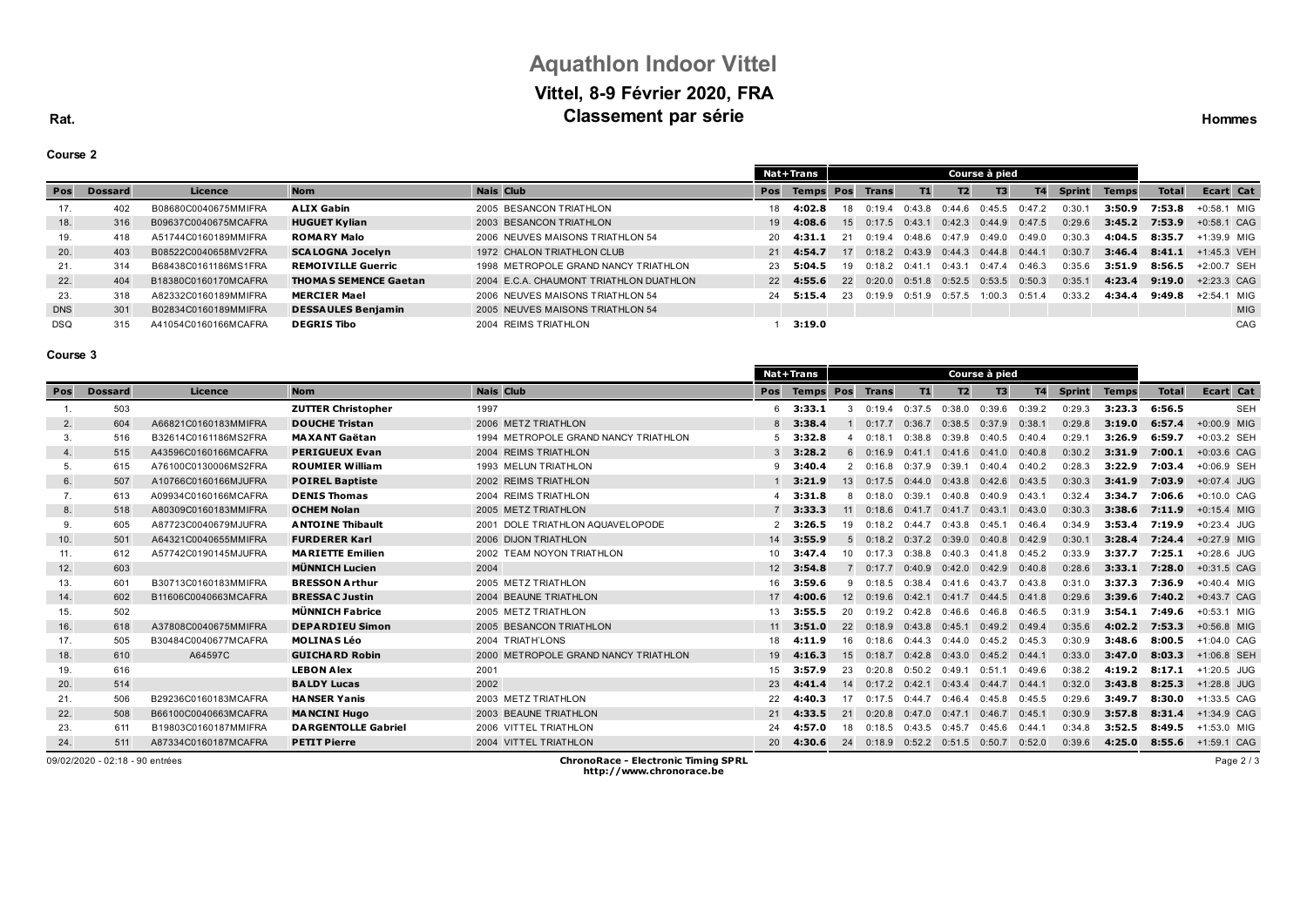# **Aquathlon Indoor Vittel Vittel, 8-9 Février 2020, FRA Classement par série Hommes Classement** par **série Hommes**

## **Course 2**

|            |                |                      |                              |                                         |     | Nat+Trans         | Course à pied |                                |                   |           |                   |           |               |              |              |                      |
|------------|----------------|----------------------|------------------------------|-----------------------------------------|-----|-------------------|---------------|--------------------------------|-------------------|-----------|-------------------|-----------|---------------|--------------|--------------|----------------------|
| Pos        | <b>Dossard</b> | Licence              | <b>Nom</b>                   | Nais Club                               | Pos | Temps Pos Trans   |               |                                | <b>T1</b>         | <b>T2</b> | T3                | <b>T4</b> | <b>Sprint</b> | <b>Temps</b> | <b>Total</b> | Ecart Cat            |
| 17.        | 402            | B08680C0040675MMIFRA | <b>ALIX Gabin</b>            | 2005 BESANCON TRIATHLON                 |     | 18 4:02.8         | 18            | 0:19.4                         | 0.43R             | በ 44 6    | 0:45.5            | 0:47.2    | 0:30.1        | 3:50.9       | 7:53.8       | $+0:58.1$ MIG        |
| 18.        | 316            | B09637C0040675MCAFRA | <b>HUGUET Kylian</b>         | 2003 BESANCON TRIATHLON                 |     | $19$ 4:08.6       |               | $15 \quad 0.17.5 \quad 0.43.1$ |                   | 0:42.3    | $0:44.9$ $0:47.5$ |           | 0:29.6        | 3:45.2       | 7:53.9       | $+0.58.1$ CAG        |
| 19.        | 418            | A51744C0160189MMIFRA | <b>ROMARY Malo</b>           | 2006 NEUVES MAISONS TRIATHLON 54        |     | $20 \quad 4:31.1$ | 21            | 0:19.4                         | 0:48.6            | 0:47.9    | 0.49.0            | 0:49.0    | 0:30.3        | 4:04.5       | 8:35.7       | +1:39.9 MIG          |
| 20.        | 403            | B08522C0040658MV2FRA | <b>SCALOGNA Jocelyn</b>      | 1972 CHALON TRIATHLON CLUB              |     | 21 4:54.7         | 17            | $0:18.2$ $0:43.9$ $0:44.3$     |                   |           | $0:44.8$ $0:44.1$ |           | 0:30.7        | 3:46.4       |              | 8:41.1 $+1:45.3$ VEH |
| 21.        | 314            | B68438C0161186MS1FRA | <b>REMOIVILLE Guerric</b>    | 1998 METROPOLE GRAND NANCY TRIATHLON    |     | 23 5:04.5         | 19            | $0.182$ $0.411$                |                   | 0.431     | 0:47.4            | 0.46.3    | 0:35.6        | 3:51.9       | 8:56.5       | $+2:00.7$ SEH        |
| 22.        | 404            | B18380C0160170MCAFRA | <b>THOMAS SEMENCE Gaetan</b> | 2004 E.C.A. CHAUMONT TRIATHLON DUATHLON |     | 22 4:55.6         | 22            | 0:20.0                         | $0:51.8$ $0:52.5$ |           | $0:53.5$ $0:50.3$ |           | 0:35.1        | 4:23.4       | 9:19.0       | +2:23.3 CAG          |
| 23.        | 318            | A82332C0160189MMIFRA | <b>MERCIER Mael</b>          | 2006 NEUVES MAISONS TRIATHLON 54        |     | 24 5:15.4         | 23            | 0:19.9                         | 0:51.9            | 0:57.5    | 1:00.3            | 0:51.4    | 0:33.2        | 4:34.4       | 9:49.8       | +2:54.1 MIG          |
| <b>DNS</b> | 301            | B02834C0160189MMIFRA | <b>DESSAULES Benjamin</b>    | 2005 NEUVES MAISONS TRIATHLON 54        |     |                   |               |                                |                   |           |                   |           |               |              |              | <b>MIG</b>           |
| <b>DSQ</b> | 315            | A41054C0160166MCAFRA | <b>DEGRIS Tibo</b>           | 2004 REIMS TRIATHLON                    |     | 3:19.0            |               |                                |                   |           |                   |           |               |              |              | CAG                  |

## **Course 3**

|     |                |                      |                            |                                      |                 | Nat+Trans        | Course à pied |                   |                   |                   |                   |           |               |              |              |               |            |
|-----|----------------|----------------------|----------------------------|--------------------------------------|-----------------|------------------|---------------|-------------------|-------------------|-------------------|-------------------|-----------|---------------|--------------|--------------|---------------|------------|
| Pos | <b>Dossard</b> | Licence              | <b>Nom</b>                 | <b>Nais Club</b>                     | Pos             | <b>Temps Pos</b> |               | <b>Trans</b>      | T1                | T <sub>2</sub>    | T3                | <b>T4</b> | <b>Sprint</b> | <b>Temps</b> | <b>Total</b> | Ecart Cat     |            |
|     | 503            |                      | <b>ZUTTER Christopher</b>  | 1997                                 |                 | $6$ 3:33.1       |               | 0:19.4            | 0:37.5            | 0:38.0            | 0:39.6            | 0:39.2    | 0:29.3        | 3:23.3       | 6:56.5       |               | <b>SEH</b> |
| 2.  | 604            | A66821C0160183MMIFRA | <b>DOUCHE Tristan</b>      | 2006 METZ TRIATHLON                  |                 | $8$ 3:38.4       |               | 0:17.7            | 0:36.7            | 0:38.5            | 0:37.9            | 0:38.1    | 0:29.8        | 3:19.0       | 6:57.4       | +0:00.9 MIG   |            |
| 3.  | 516            | B32614C0161186MS2FRA | <b>MAXANT Gaëtan</b>       | 1994 METROPOLE GRAND NANCY TRIATHLON |                 | $5$ 3:32.8       |               | 0.181             | 0:38.8            | 0:39.8            | 0:40.5            | 0:40.4    | 0:29.1        | 3:26.9       | 6:59.7       | +0:03.2 SEH   |            |
| 4.  | 515            | A43596C0160166MCAFRA | <b>PERIGUEUX Evan</b>      | 2004 REIMS TRIATHLON                 |                 | 3:28.2           | $6^{\circ}$   | 0:16.9            | 0:41.1            | 0:41.6            | 0:41.0            | 0:40.8    | 0:30.2        | 3:31.9       | 7:00.1       | $+0:03.6$ CAG |            |
| 5.  | 615            | A76100C0130006MS2FRA | <b>ROUMIER William</b>     | 1993 MELUN TRIATHLON                 | 9               | 3:40.4           |               | 0:16.8            | 0:37.9            | 0:39.1            | 0:40.4            | 0:40.2    | 0:28.3        | 3:22.9       | 7:03.4       | +0:06.9 SEH   |            |
| 6.  | 507            | A10766C0160166MJUFRA | <b>POIREL Baptiste</b>     | 2002 REIMS TRIATHLON                 |                 | 3:21.9           | 13            | 0:17.5            | 0:44.0            | 0:43.8            | 0:42.6            | 0:43.5    | 0:30.3        | 3:41.9       | 7:03.9       | $+0:07.4$ JUG |            |
|     | 613            | A09934C0160166MCAFRA | <b>DENIS Thomas</b>        | 2004 REIMS TRIATHLON                 |                 | 3:31.8           | 8             | 0:18.0            | 0:39.1            | 0:40.8            | 0:40.9            | 0:43.1    | 0:32.4        | 3:34.7       | 7:06.6       | +0:10.0 CAG   |            |
| 8.  | 518            | A80309C0160183MMIFRA | <b>OCHEM Nolan</b>         | 2005 METZ TRIATHLON                  |                 | 3:33.3           | 11            | 0.186             |                   | $0:41.7$ $0:41.7$ | $0:43.1$ $0:43.0$ |           | 0:30.3        | 3:38.6       | 7:11.9       | $+0:15.4$ MIG |            |
| 9.  | 605            | A87723C0040679MJUFRA | <b>ANTOINE Thibault</b>    | 2001 DOLE TRIATHLON AQUAVELOPODE     |                 | 3:26.5           | 19            | $0:18.2$ $0:44.7$ |                   | 0:43.8            | 0:45.1            | 0:46.4    | 0:34.9        | 3:53.4       | 7:19.9       | $+0:23.4$ JUG |            |
| 10. | 501            | A64321C0040655MMIFRA | <b>FURDERER Karl</b>       | 2006 DIJON TRIATHLON                 | 14              | 3:55.9           | 5             | 0.182             | 0:37.2            | 0:39.0            | 0:40.8            | 0:42.9    | 0:30.1        | 3:28.4       | 7:24.4       | +0:27.9 MIG   |            |
| 11. | 612            | A57742C0190145MJUFRA | <b>MARIETTE Emilien</b>    | 2002 TEAM NOYON TRIATHLON            | $10-1$          | 3:47.4           | 10            | 0:17.3            | 0:38.8            | 0:40.3            | 0:41.8            | 0:45.2    | 0:33.9        | 3:37.7       | 7:25.1       | $+0.28.6$ JUG |            |
| 12. | 603            |                      | <b>MÜNNICH Lucien</b>      | 2004                                 | 12              | 3:54.8           |               | 0:17.7            | 0:40.9            | 0:42.0            | 0:42.9            | 0:40.8    | 0:28.6        | 3:33.1       | 7:28.0       | $+0:31.5$ CAG |            |
| 13. | 601            | B30713C0160183MMIFRA | <b>BRESSON Arthur</b>      | 2005 METZ TRIATHLON                  | 16              | 3:59.6           | 9             | 0:18.5            | 0:38.4            | 0:41.6            | 0:43.7            | 0:43.8    | 0:31.0        | 3:37.3       | 7:36.9       | $+0:40.4$ MIG |            |
| 14. | 602            | B11606C0040663MCAFRA | <b>BRESSAC Justin</b>      | 2004 BEAUNE TRIATHLON                | 17              | 4:00.6           | 12            | 0:19.6            | 0:42.1            | 0:41.7            | 0:44.5            | 0:41.8    | 0:29.6        | 3:39.6       | 7:40.2       | $+0:43.7$ CAG |            |
| 15. | 502            |                      | <b>MÜNNICH Fabrice</b>     | 2005 METZ TRIATHLON                  |                 | 3:55.5           | 20            | 0:19.2            | 0:42.8            | 0:46.6            | 0:46.8            | 0:46.5    | 0:31.9        | 3:54.1       | 7:49.6       | $+0:53.1$ MIG |            |
| 16. | 618            | A37808C0040675MMIFRA | <b>DEPARDIEU Simon</b>     | 2005 BESANCON TRIATHLON              |                 | 3:51.0           | 22            | 0:18.9            | 0:43.8            | 0:45.1            | 0:49.2            | 0:49.4    | 0:35.6        | 4:02.2       | 7:53.3       | $+0:56.8$ MIG |            |
| 17. | 505            | B30484C0040677MCAFRA | <b>MOLINAS Léo</b>         | 2004 TRIATH'LONS                     | 18              | 4:11.9           | 16            | 0:18.6            | 0:44.3            | 0:44.0            | 0:45.2            | 0:45.3    | 0:30.9        | 3:48.6       | 8:00.5       | $+1:04.0$ CAG |            |
| 18. | 610            | A64597C              | <b>GUICHARD Robin</b>      | 2000 METROPOLE GRAND NANCY TRIATHLON | 19              | 4:16.3           | 15            | 0:18.7            | 0:42.8            | 0:43.0            | 0:45.2            | 0:44.1    | 0:33.0        | 3:47.0       | 8:03.3       | +1:06.8 SEH   |            |
| 19. | 616            |                      | <b>LEBON Alex</b>          | 2001                                 | 15              | 3:57.9           | 23            | 0:20.8            | $0:50.2$ $0:49.1$ |                   | 0:51.1            | 0:49.6    | 0:38.2        | 4:19.2       | 8:17.1       | +1:20.5 JUG   |            |
| 20. | 514            |                      | <b>BALDY Lucas</b>         | 2002                                 | 23              | 4:41.4           | 14            | $0:17.2$ $0:42.1$ |                   | 0:43.4            | 0:44.7            | 0:44.1    | 0:32.0        | 3:43.8       | 8:25.3       | +1:28.8 JUG   |            |
| 21. | 506            | B29236C0160183MCAFRA | <b>HANSER Yanis</b>        | 2003 METZ TRIATHLON                  | 22              | :40.3            | 17            | 0:17.5            | 0:44.7            | 0:46.4            | 0:45.8            | 0:45.5    | 0:29.6        | 3:49.7       | 8:30.0       | $+1:33.5$ CAG |            |
| 22. | 508            | B66100C0040663MCAFRA | <b>MANCINI Hugo</b>        | 2003 BEAUNE TRIATHLON                | 21              | 4:33.5           | 21            | 0:20.8            | 0:47.0            | 0:47.1            | 0:46.7            | 0:45.1    | 0:30.9        | 3:57.8       | 8:31.4       | +1:34.9 CAG   |            |
| 23. | 611            | B19803C0160187MMIFRA | <b>DARGENTOLLE Gabriel</b> | 2006 VITTEL TRIATHLON                | 24              | :57.0            | 18            | 0:18.5            | 0:43.5            | 0:45.7            | 0:45.6            | $0:44$ .  | 0:34.8        | 3:52.5       | 8:49.5       | +1:53.0 MIG   |            |
| 24. | 511            | A87334C0160187MCAFRA | <b>PETIT Pierre</b>        | 2004 VITTEL TRIATHLON                | 20 <sup>1</sup> | 4:30.6           | 24            | 0:18.9            |                   | $0:52.2$ $0:51.5$ | 0:50.7            | 0:52.0    | 0:39.6        | 4:25.0       | 8:55.6       | +1:59.1 CAG   |            |

09/02/2020 - 02:18 - 90 entrées **ChronoRace - Electronic Timing SPRL http://www.chronorace.be**

Page 2 / 3

**Rat.**